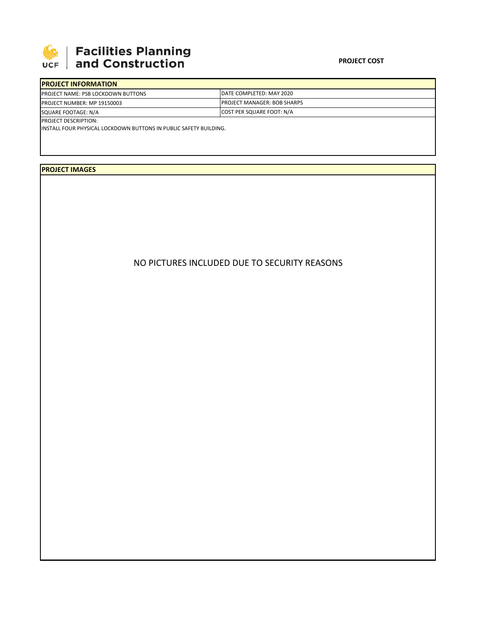

## **SEPTE AND Facilities Planning**<br>UCF and Construction

| <b>PROJECT INFORMATION</b>                 |                                     |
|--------------------------------------------|-------------------------------------|
| <b>IPROJECT NAME: PSB LOCKDOWN BUTTONS</b> | <b>IDATE COMPLETED: MAY 2020</b>    |
| <b>PROJECT NUMBER: MP 19150003</b>         | <b>IPROJECT MANAGER: BOB SHARPS</b> |
| SQUARE FOOTAGE: N/A                        | <b>COST PER SQUARE FOOT: N/A</b>    |
| <b>PROJECT DESCRIPTION:</b>                |                                     |

INSTALL FOUR PHYSICAL LOCKDOWN BUTTONS IN PUBLIC SAFETY BUILDING.

## **PROJECT IMAGES**

## NO PICTURES INCLUDED DUE TO SECURITY REASONS